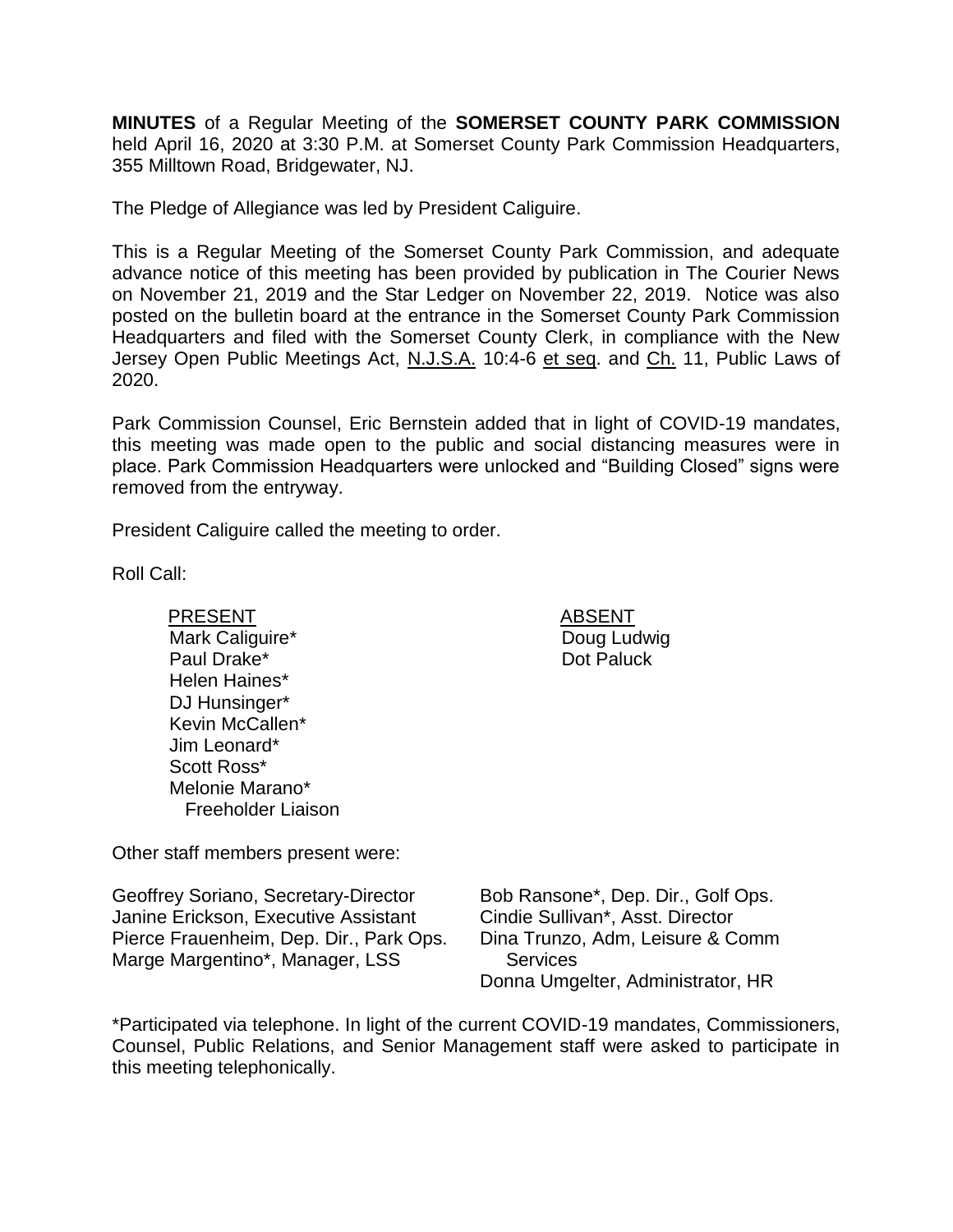**MINUTES** of a Regular Meeting of the **SOMERSET COUNTY PARK COMMISSION** held April 16, 2020 at 3:30 P.M. at Somerset County Park Commission Headquarters, 355 Milltown Road, Bridgewater, NJ.

The Pledge of Allegiance was led by President Caliguire.

This is a Regular Meeting of the Somerset County Park Commission, and adequate advance notice of this meeting has been provided by publication in The Courier News on November 21, 2019 and the Star Ledger on November 22, 2019. Notice was also posted on the bulletin board at the entrance in the Somerset County Park Commission Headquarters and filed with the Somerset County Clerk, in compliance with the New Jersey Open Public Meetings Act, N.J.S.A. 10:4-6 et seq. and Ch. 11, Public Laws of 2020.

Park Commission Counsel, Eric Bernstein added that in light of COVID-19 mandates, this meeting was made open to the public and social distancing measures were in place. Park Commission Headquarters were unlocked and "Building Closed" signs were removed from the entryway.

President Caliguire called the meeting to order.

Roll Call:

PRESENT ABSENT Mark Caliguire\* Paul Drake\* Helen Haines\* DJ Hunsinger\* Kevin McCallen\* Jim Leonard\* Scott Ross\* Melonie Marano\* Freeholder Liaison

Other staff members present were:

Geoffrey Soriano, Secretary-Director Janine Erickson, Executive Assistant Pierce Frauenheim, Dep. Dir., Park Ops. Marge Margentino\*, Manager, LSS

Bob Ransone\*, Dep. Dir., Golf Ops. Cindie Sullivan\*, Asst. Director Dina Trunzo, Adm, Leisure & Comm **Services** Donna Umgelter, Administrator, HR

\*Participated via telephone. In light of the current COVID-19 mandates, Commissioners, Counsel, Public Relations, and Senior Management staff were asked to participate in this meeting telephonically.

Doug Ludwig Dot Paluck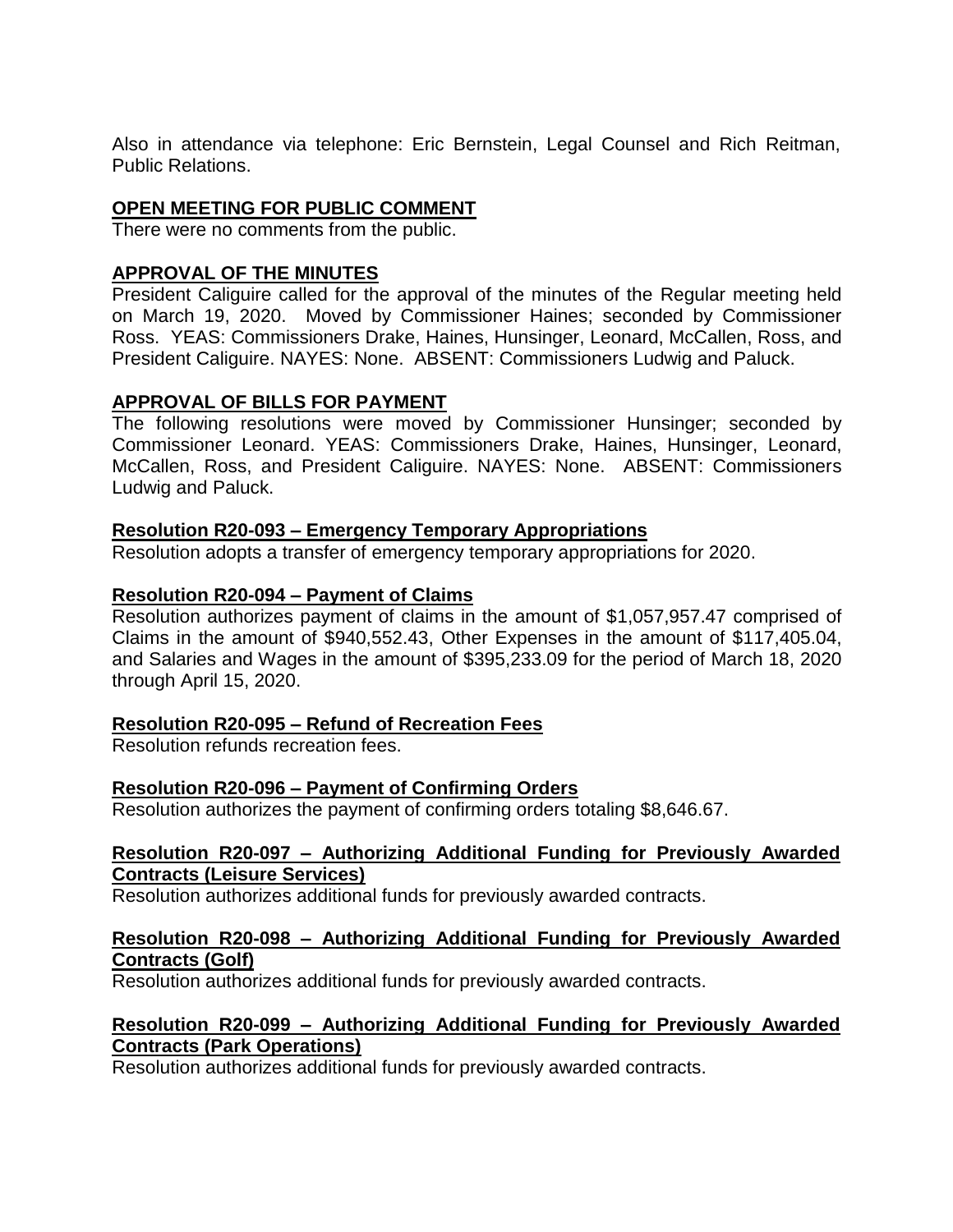Also in attendance via telephone: Eric Bernstein, Legal Counsel and Rich Reitman, Public Relations.

# **OPEN MEETING FOR PUBLIC COMMENT**

There were no comments from the public.

## **APPROVAL OF THE MINUTES**

President Caliguire called for the approval of the minutes of the Regular meeting held on March 19, 2020. Moved by Commissioner Haines; seconded by Commissioner Ross. YEAS: Commissioners Drake, Haines, Hunsinger, Leonard, McCallen, Ross, and President Caliguire. NAYES: None. ABSENT: Commissioners Ludwig and Paluck.

## **APPROVAL OF BILLS FOR PAYMENT**

The following resolutions were moved by Commissioner Hunsinger; seconded by Commissioner Leonard. YEAS: Commissioners Drake, Haines, Hunsinger, Leonard, McCallen, Ross, and President Caliguire. NAYES: None. ABSENT: Commissioners Ludwig and Paluck.

### **Resolution R20-093 – Emergency Temporary Appropriations**

Resolution adopts a transfer of emergency temporary appropriations for 2020.

## **Resolution R20-094 – Payment of Claims**

Resolution authorizes payment of claims in the amount of \$1,057,957.47 comprised of Claims in the amount of \$940,552.43, Other Expenses in the amount of \$117,405.04, and Salaries and Wages in the amount of \$395,233.09 for the period of March 18, 2020 through April 15, 2020.

### **Resolution R20-095 – Refund of Recreation Fees**

Resolution refunds recreation fees.

### **Resolution R20-096 – Payment of Confirming Orders**

Resolution authorizes the payment of confirming orders totaling \$8,646.67.

### **Resolution R20-097 – Authorizing Additional Funding for Previously Awarded Contracts (Leisure Services)**

Resolution authorizes additional funds for previously awarded contracts.

### **Resolution R20-098 – Authorizing Additional Funding for Previously Awarded Contracts (Golf)**

Resolution authorizes additional funds for previously awarded contracts.

## **Resolution R20-099 – Authorizing Additional Funding for Previously Awarded Contracts (Park Operations)**

Resolution authorizes additional funds for previously awarded contracts.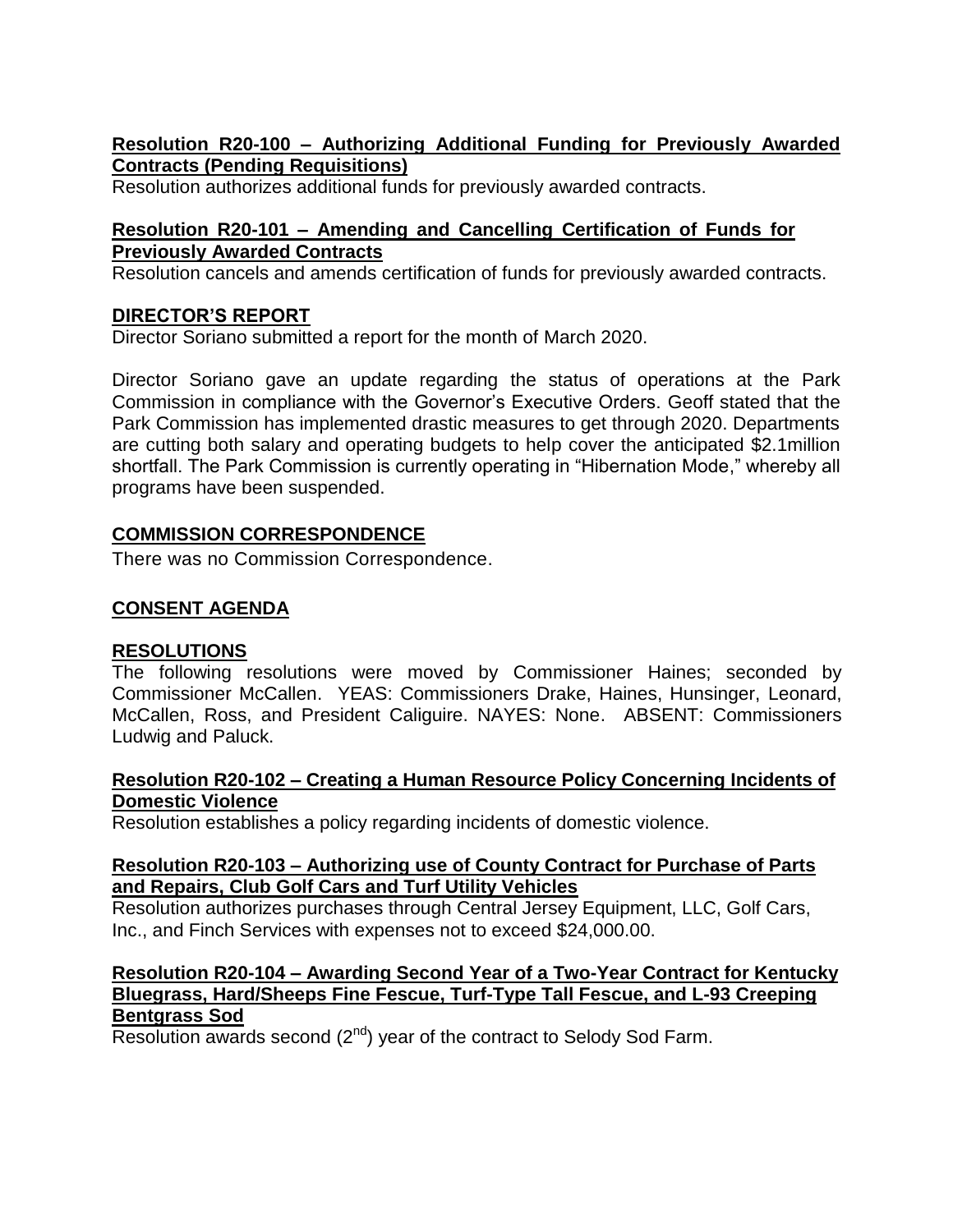# **Resolution R20-100 – Authorizing Additional Funding for Previously Awarded Contracts (Pending Requisitions)**

Resolution authorizes additional funds for previously awarded contracts.

# **Resolution R20-101 – Amending and Cancelling Certification of Funds for Previously Awarded Contracts**

Resolution cancels and amends certification of funds for previously awarded contracts.

# **DIRECTOR'S REPORT**

Director Soriano submitted a report for the month of March 2020.

Director Soriano gave an update regarding the status of operations at the Park Commission in compliance with the Governor's Executive Orders. Geoff stated that the Park Commission has implemented drastic measures to get through 2020. Departments are cutting both salary and operating budgets to help cover the anticipated \$2.1million shortfall. The Park Commission is currently operating in "Hibernation Mode," whereby all programs have been suspended.

# **COMMISSION CORRESPONDENCE**

There was no Commission Correspondence.

# **CONSENT AGENDA**

### **RESOLUTIONS**

The following resolutions were moved by Commissioner Haines; seconded by Commissioner McCallen. YEAS: Commissioners Drake, Haines, Hunsinger, Leonard, McCallen, Ross, and President Caliguire. NAYES: None. ABSENT: Commissioners Ludwig and Paluck.

### **Resolution R20-102 – Creating a Human Resource Policy Concerning Incidents of Domestic Violence**

Resolution establishes a policy regarding incidents of domestic violence.

## **Resolution R20-103 – Authorizing use of County Contract for Purchase of Parts and Repairs, Club Golf Cars and Turf Utility Vehicles**

Resolution authorizes purchases through Central Jersey Equipment, LLC, Golf Cars, Inc., and Finch Services with expenses not to exceed \$24,000.00.

### **Resolution R20-104** *–* **Awarding Second Year of a Two-Year Contract for Kentucky Bluegrass, Hard/Sheeps Fine Fescue, Turf-Type Tall Fescue, and L-93 Creeping Bentgrass Sod**

Resolution awards second (2<sup>nd</sup>) year of the contract to Selody Sod Farm.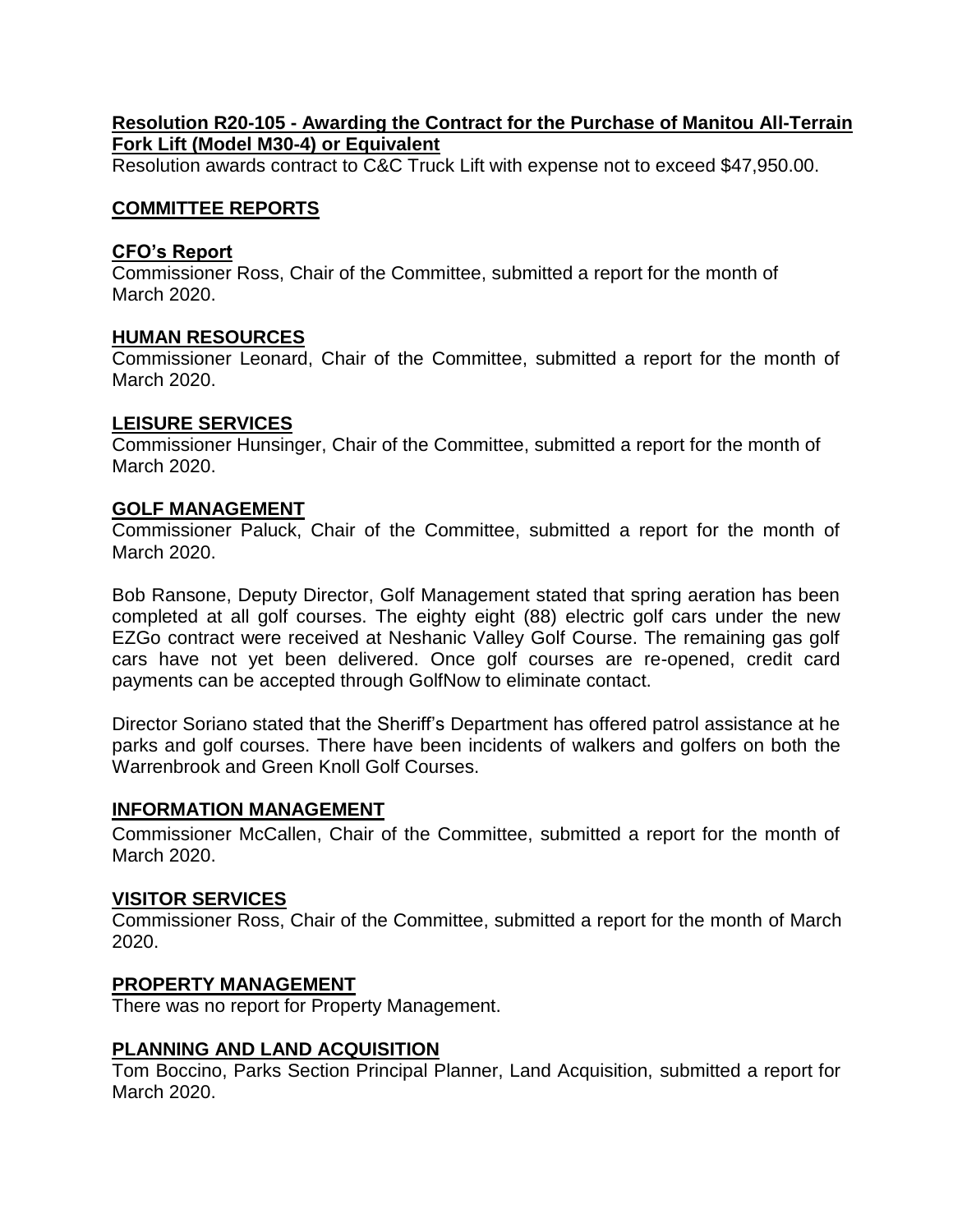### **Resolution R20-105 - Awarding the Contract for the Purchase of Manitou All-Terrain Fork Lift (Model M30-4) or Equivalent**

Resolution awards contract to C&C Truck Lift with expense not to exceed \$47,950.00.

### **COMMITTEE REPORTS**

### **CFO's Report**

Commissioner Ross, Chair of the Committee, submitted a report for the month of March 2020.

## **HUMAN RESOURCES**

Commissioner Leonard, Chair of the Committee, submitted a report for the month of March 2020.

### **LEISURE SERVICES**

Commissioner Hunsinger, Chair of the Committee, submitted a report for the month of March 2020.

### **GOLF MANAGEMENT**

Commissioner Paluck, Chair of the Committee, submitted a report for the month of March 2020.

Bob Ransone, Deputy Director, Golf Management stated that spring aeration has been completed at all golf courses. The eighty eight (88) electric golf cars under the new EZGo contract were received at Neshanic Valley Golf Course. The remaining gas golf cars have not yet been delivered. Once golf courses are re-opened, credit card payments can be accepted through GolfNow to eliminate contact.

Director Soriano stated that the Sheriff's Department has offered patrol assistance at he parks and golf courses. There have been incidents of walkers and golfers on both the Warrenbrook and Green Knoll Golf Courses.

### **INFORMATION MANAGEMENT**

Commissioner McCallen, Chair of the Committee, submitted a report for the month of March 2020.

### **VISITOR SERVICES**

Commissioner Ross, Chair of the Committee, submitted a report for the month of March 2020.

### **PROPERTY MANAGEMENT**

There was no report for Property Management.

### **PLANNING AND LAND ACQUISITION**

Tom Boccino, Parks Section Principal Planner, Land Acquisition, submitted a report for March 2020.